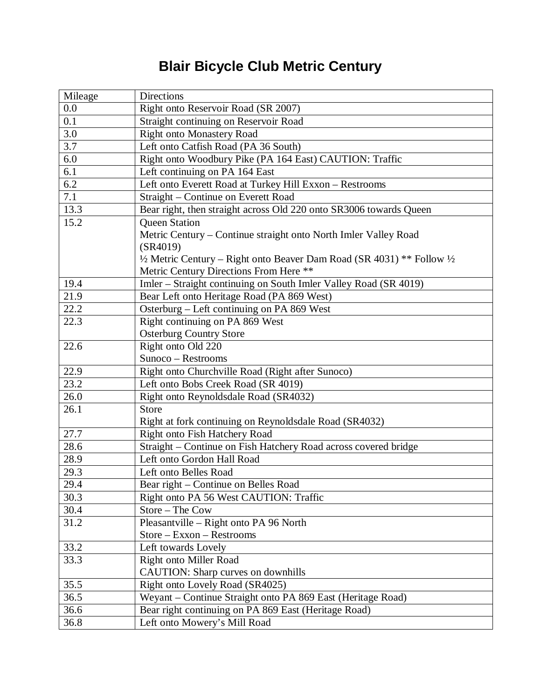## **Blair Bicycle Club Metric Century**

| Mileage | Directions                                                                                  |
|---------|---------------------------------------------------------------------------------------------|
| 0.0     | Right onto Reservoir Road (SR 2007)                                                         |
| 0.1     | Straight continuing on Reservoir Road                                                       |
| 3.0     | <b>Right onto Monastery Road</b>                                                            |
| 3.7     | Left onto Catfish Road (PA 36 South)                                                        |
| 6.0     | Right onto Woodbury Pike (PA 164 East) CAUTION: Traffic                                     |
| 6.1     | Left continuing on PA 164 East                                                              |
| 6.2     | Left onto Everett Road at Turkey Hill Exxon - Restrooms                                     |
| 7.1     | Straight - Continue on Everett Road                                                         |
| 13.3    | Bear right, then straight across Old 220 onto SR3006 towards Queen                          |
| 15.2    | <b>Queen Station</b>                                                                        |
|         | Metric Century - Continue straight onto North Imler Valley Road                             |
|         | (SR4019)                                                                                    |
|         | $\frac{1}{2}$ Metric Century – Right onto Beaver Dam Road (SR 4031) ** Follow $\frac{1}{2}$ |
|         | Metric Century Directions From Here **                                                      |
| 19.4    | Imler - Straight continuing on South Imler Valley Road (SR 4019)                            |
| 21.9    | Bear Left onto Heritage Road (PA 869 West)                                                  |
| 22.2    | Osterburg - Left continuing on PA 869 West                                                  |
| 22.3    | Right continuing on PA 869 West                                                             |
|         | <b>Osterburg Country Store</b>                                                              |
| 22.6    | Right onto Old 220                                                                          |
|         | Sunoco - Restrooms                                                                          |
| 22.9    | Right onto Churchville Road (Right after Sunoco)                                            |
| 23.2    | Left onto Bobs Creek Road (SR 4019)                                                         |
| 26.0    | Right onto Reynoldsdale Road (SR4032)                                                       |
| 26.1    | <b>Store</b>                                                                                |
|         | Right at fork continuing on Reynoldsdale Road (SR4032)                                      |
| 27.7    | Right onto Fish Hatchery Road                                                               |
| 28.6    | Straight - Continue on Fish Hatchery Road across covered bridge                             |
| 28.9    | Left onto Gordon Hall Road                                                                  |
| 29.3    | Left onto Belles Road                                                                       |
| 29.4    | Bear right - Continue on Belles Road                                                        |
| 30.3    | Right onto PA 56 West CAUTION: Traffic                                                      |
| 30.4    | Store - The Cow                                                                             |
| 31.2    | Pleasantville – Right onto PA 96 North                                                      |
|         | Store - Exxon - Restrooms                                                                   |
| 33.2    | Left towards Lovely                                                                         |
| 33.3    | Right onto Miller Road                                                                      |
|         | <b>CAUTION:</b> Sharp curves on downhills                                                   |
| 35.5    | Right onto Lovely Road (SR4025)                                                             |
| 36.5    | Weyant – Continue Straight onto PA 869 East (Heritage Road)                                 |
| 36.6    | Bear right continuing on PA 869 East (Heritage Road)                                        |
| 36.8    | Left onto Mowery's Mill Road                                                                |